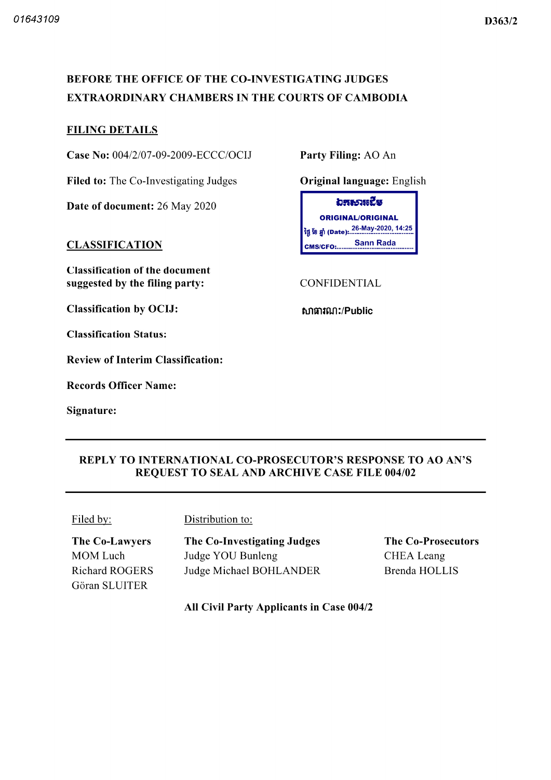# BEFORE THE OFFICE OF THE CO-INVESTIGATING JUDGES EXTRAORDINARY CHAMBERS IN THE COURTS OF CAMBODIA

### FILING DETAILS

Case No: 004/2/07-09-2009-ECCC/OCIJ Party Filing: AO An

Filed to: The Co-Investigating Judges **Original language:** English

Date of document: 26 May 2020

#### **CLASSIFICATION**

Classification of the document suggested by the filing party: CONFIDENTIAL

Classification by OCIJ: but a manufacture manufacture of the extension of the extension of the extension of the  $\mathbf{C}$ 

Classification Status

Review of Interim Classification

Records Officer Name

Signature

อสธวหนึ่ง ORIGINAL/ORIGINAL 26 May 2020 14 25 tg jjfl Date Sann Rada CMS/CFO:..

## REPLY TO INTERNATIONAL CO PROSECUTOR'S RESPONSE TO AO AN'S REQUEST TO SEAL AND ARCHIVE CASE FILE 004/02

Filed by: Distribution to:

The Co-Lawyers MOM Luch Richard ROGERS Gôran SLUITER

The Co-Investigating Judges Judge YOU Bunleng Judge Michael BOHLANDER

The Co-Prosecutors CHEA Leang Brenda HOLLIS

All Civil Party Applicants in Case 004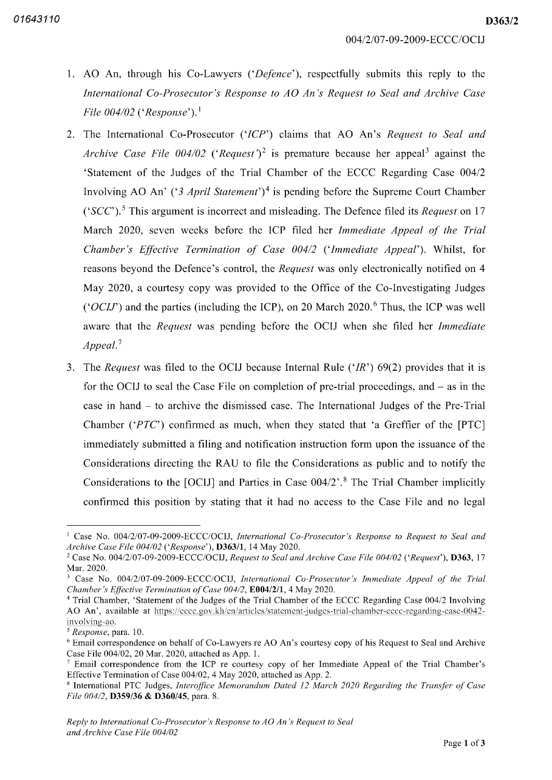D363/2

- 1. AO An, through his Co-Lawyers ('Defence'), respectfully submits this reply to the International Co-Prosecutor's Response to AO An's Request to Seal and Archive Case File  $004/02$  ('Response').<sup>1</sup>
- 2. The International Co-Prosecutor ('ICP') claims that AO An's Request to Seal and Archive Case File 004/02 ('Request')<sup>2</sup> is premature because her appeal<sup>3</sup> against the 'Statement of the Judges of the Trial Chamber of the ECCC Regarding Case <sup>004</sup> Involving AO An' ('3 April Statement')<sup>4</sup> is pending before the Supreme Court Chamber ('SCC').<sup>5</sup> This argument is incorrect and misleading. The Defence filed its *Request* on 17 March 2020, seven weeks before the ICP filed her Immediate Appeal of the Trial Chamber's Effective Termination of Case  $004/2$  ('Immediate Appeal'). Whilst, for reasons beyond the Defence's control, the Request was only electronically notified on 4 May 2020, a courtesy copy was provided to the Office of the Co-Investigating Judges ('OCIJ') and the parties (including the ICP), on 20 March 2020.<sup>6</sup> Thus, the ICP was well aware that the Request was pending before the OCIJ when she filed her Immediate  $Append.<sup>7</sup>$
- 3. The Request was filed to the OCIJ because Internal Rule  $(HR')$  69(2) provides that it is for the OCIJ to seal the Case File on completion of pre-trial proceedings, and  $-$  as in the case in hand  $-$  to archive the dismissed case. The International Judges of the Pre-Trial Chamber ( $'PTC'$ ) confirmed as much, when they stated that 'a Greffier of the [PTC] immediately submitted a filing and notification instruction form upon the issuance of the Considerations directing the RAU to file the Considerations as public and to notify the Considerations to the  $[OCIJ]$  and Parties in Case  $004/2$ <sup>2</sup>.<sup>8</sup> The Trial Chamber implicitly confirmed this position by stating that it had no access to the Case File and no legal

<sup>&</sup>lt;sup>1</sup> Case No. 004/2/07-09-2009-ECCC/OCIJ, International Co-Prosecutor's Response to Request to Seal and Archive Case File 004/02 ('Response'), **D363/1**, 14 May 2020.

<sup>&</sup>lt;sup>2</sup> Case No. 004/2/07-09-2009-ECCC/OCIJ, Request to Seal and Archive Case File 004/02 ('Request'), **D363**, 17 Mar. 2020.

 $^3$  Case No. 004/2/07-09-2009-ECCC/OCIJ, International Co-Prosecutor's Immediate Appeal of the Trial Chamber's Effective Termination of Case  $004/2$ ,  $E004/2/1$ , 4 May 2020.

<sup>&</sup>lt;sup>4</sup> Trial Chamber, 'Statement of the Judges of the Trial Chamber of the ECCC Regarding Case 004/2 Involving AO An', available at https://eccc.gov.kh/en/articles/statement-judges-trial-chamber-eccc-regarding-case-0042involving-ao.

*Response*, para. 10.

Email correspondence on behalf of Co Lawyers re AO An's courtesy copy of his Request to Seal and Archive Case File  $004/02$ , 20 Mar. 2020, attached as App. 1.

Email correspondence from the ICP re courtesy copy of her Immediate Appeal of the Trial Chamber's Effective Termination of Case 004/02, 4 May 2020, attached as App. 2.

<sup>&</sup>lt;sup>8</sup> International PTC Judges, *Interoffice Memorandum Dated 12 March 2020 Regarding the Transfer of Case* File  $004/2$ , **D359/36 & D360/45**, para, 8.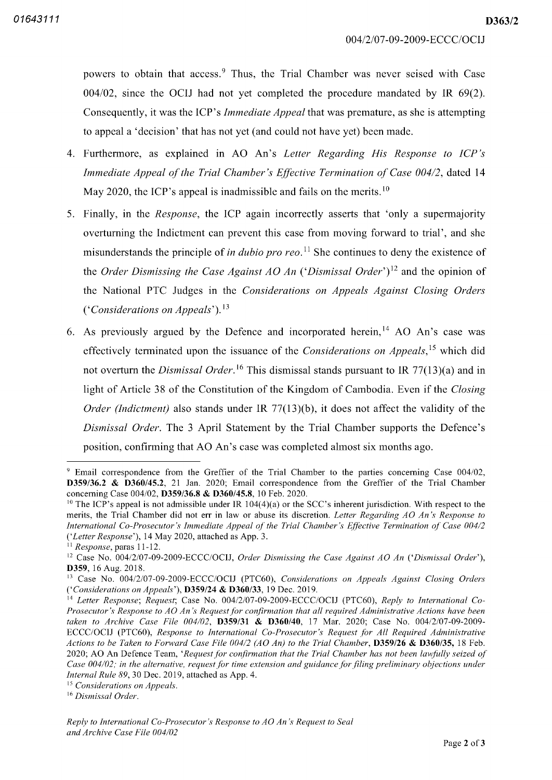D363/2

powers to obtain that access.<sup>9</sup> Thus, the Trial Chamber was never seised with Case  $004/02$ , since the OCIJ had not yet completed the procedure mandated by IR  $69(2)$ . Consequently, it was the ICP's *Immediate Appeal* that was premature, as she is attempting to appeal a 'decision' that has not yet (and could not have yet) been made.

- 4. Furthermore, as explained in AO An's Letter Regarding His Response to ICP's Immediate Appeal of the Trial Chamber's Effective Termination of Case 004/2, dated 14 May 2020, the ICP's appeal is inadmissible and fails on the merits.<sup>10</sup>
- 5. Finally, in the *Response*, the ICP again incorrectly asserts that 'only a supermajority overturning the Indictment can prevent this case from moving forward to trial', and she misunderstands the principle of *in dubio pro reo*.<sup>11</sup> She continues to deny the existence of the Order Dismissing the Case Against AO An ('Dismissal Order')<sup>12</sup> and the opinion of the National PTC Judges in the Considerations on Appeals Against Closing Orders Considerations on Appeals').<sup>13</sup>
- As previously argued by the Defence and incorporated herein,<sup>14</sup> AO An's case was effectively terminated upon the issuance of the *Considerations on Appeals*,<sup>15</sup> which did not overturn the Dismissal Order.<sup>16</sup> This dismissal stands pursuant to IR 77(13)(a) and in light of Article 38 of the Constitution of the Kingdom of Cambodia. Even if the Closing *Order (Indictment)* also stands under IR 77(13)(b), it does not affect the validity of the Dismissal Order. The 3 April Statement by the Trial Chamber supports the Defence's position, confirming that AO An's case was completed almost six months ago.

<sup>&</sup>lt;sup>9</sup> Email correspondence from the Greffier of the Trial Chamber to the parties concerning Case 004/02, D359/36.2 & D360/45.2, 21 Jan. 2020; Email correspondence from the Greffier of the Trial Chamber concerning Case 004/02, **D359/36.8 & D360/45.8**, 10 Feb. 2020.

<sup>&</sup>lt;sup>10</sup> The ICP's appeal is not admissible under IR  $104(4)(a)$  or the SCC's inherent jurisdiction. With respect to the merits, the Trial Chamber did not err in law or abuse its discretion. Letter Regarding AO An's Response to International Co-Prosecutor's Immediate Appeal of the Trial Chamber's Effective Termination of Case 004/2 ('Letter Response'), 14 May 2020, attached as App. 3.

 $\frac{11}{11}$  Response, paras 11-12.

<sup>&</sup>lt;sup>12</sup> Case No. 004/2/07-09-2009-ECCC/OCIJ, Order Dismissing the Case Against AO An ('Dismissal Order') D359, 16 Aug. 2018.

<sup>&</sup>lt;sup>13</sup> Case No. 004/2/07-09-2009-ECCC/OCIJ (PTC60), Considerations on Appeals Against Closing Orders 'Considerations on Appeals'), **D359/24 & D360/33**, 19 Dec. 2019.

<sup>&</sup>lt;sup>14</sup> Letter Response; Request; Case No. 004/2/07-09-2009-ECCC/OCIJ (PTC60), Reply to International Co-Prosecutor's Response to AO An's Request for confirmation that all required Administrative Actions have been taken to Archive Case File  $004/02$ , **D359/31 & D360/40**, 17 Mar. 2020; Case No.  $004/2/07-09-2009-$ ECCC/OCIJ (PTC60), Response to International Co-Prosecutor's Request for All Required Administrative Actions to be Taken to Forward Case File  $004/2$  (AO An) to the Trial Chamber, **D359/26 & D360/35**, 18 Feb. 2020; AO An Defence Team, 'Request for confirmation that the Trial Chamber has not been lawfully seized of Case 004/02; in the alternative, request for time extension and guidance for filing preliminary objections under Internal Rule 89, 30 Dec. 2019, attached as App. 4.

<sup>&</sup>lt;sup>15</sup> Considerations on Appeals.

<sup>&</sup>lt;sup>16</sup> Dismissal Order.